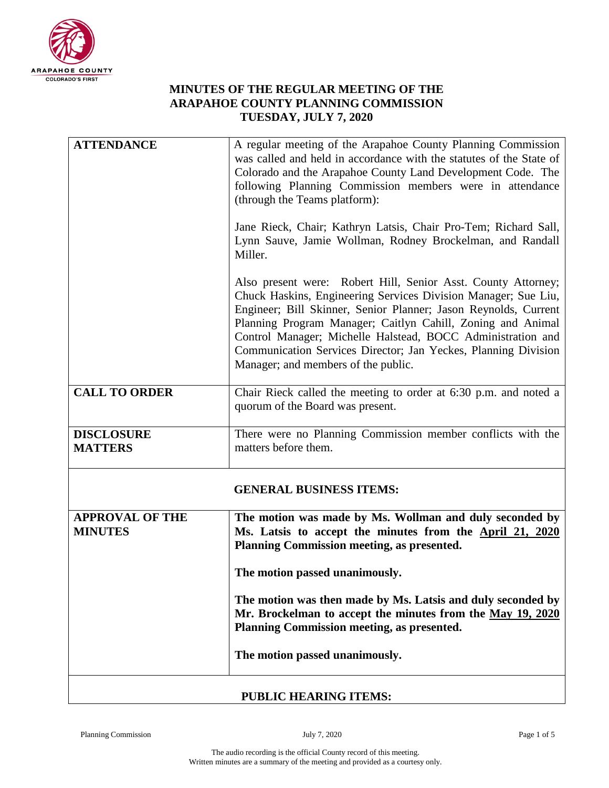

## **MINUTES OF THE REGULAR MEETING OF THE ARAPAHOE COUNTY PLANNING COMMISSION TUESDAY, JULY 7, 2020**

| <b>ATTENDANCE</b>                        | A regular meeting of the Arapahoe County Planning Commission<br>was called and held in accordance with the statutes of the State of                                                                                                                                                                                                                                                                                                       |
|------------------------------------------|-------------------------------------------------------------------------------------------------------------------------------------------------------------------------------------------------------------------------------------------------------------------------------------------------------------------------------------------------------------------------------------------------------------------------------------------|
|                                          | Colorado and the Arapahoe County Land Development Code. The<br>following Planning Commission members were in attendance<br>(through the Teams platform):                                                                                                                                                                                                                                                                                  |
|                                          | Jane Rieck, Chair; Kathryn Latsis, Chair Pro-Tem; Richard Sall,<br>Lynn Sauve, Jamie Wollman, Rodney Brockelman, and Randall<br>Miller.                                                                                                                                                                                                                                                                                                   |
|                                          | Also present were: Robert Hill, Senior Asst. County Attorney;<br>Chuck Haskins, Engineering Services Division Manager; Sue Liu,<br>Engineer; Bill Skinner, Senior Planner; Jason Reynolds, Current<br>Planning Program Manager; Caitlyn Cahill, Zoning and Animal<br>Control Manager; Michelle Halstead, BOCC Administration and<br>Communication Services Director; Jan Yeckes, Planning Division<br>Manager; and members of the public. |
| <b>CALL TO ORDER</b>                     | Chair Rieck called the meeting to order at 6:30 p.m. and noted a<br>quorum of the Board was present.                                                                                                                                                                                                                                                                                                                                      |
| <b>DISCLOSURE</b><br><b>MATTERS</b>      | There were no Planning Commission member conflicts with the<br>matters before them.                                                                                                                                                                                                                                                                                                                                                       |
|                                          | <b>GENERAL BUSINESS ITEMS:</b>                                                                                                                                                                                                                                                                                                                                                                                                            |
| <b>APPROVAL OF THE</b><br><b>MINUTES</b> | The motion was made by Ms. Wollman and duly seconded by<br>Ms. Latsis to accept the minutes from the April 21, 2020<br>Planning Commission meeting, as presented.                                                                                                                                                                                                                                                                         |
|                                          | The motion passed unanimously.                                                                                                                                                                                                                                                                                                                                                                                                            |
|                                          | The motion was then made by Ms. Latsis and duly seconded by<br>Mr. Brockelman to accept the minutes from the May 19, 2020<br>Planning Commission meeting, as presented.                                                                                                                                                                                                                                                                   |
|                                          | The motion passed unanimously.                                                                                                                                                                                                                                                                                                                                                                                                            |
|                                          | PURI IC HEARING ITEMS.                                                                                                                                                                                                                                                                                                                                                                                                                    |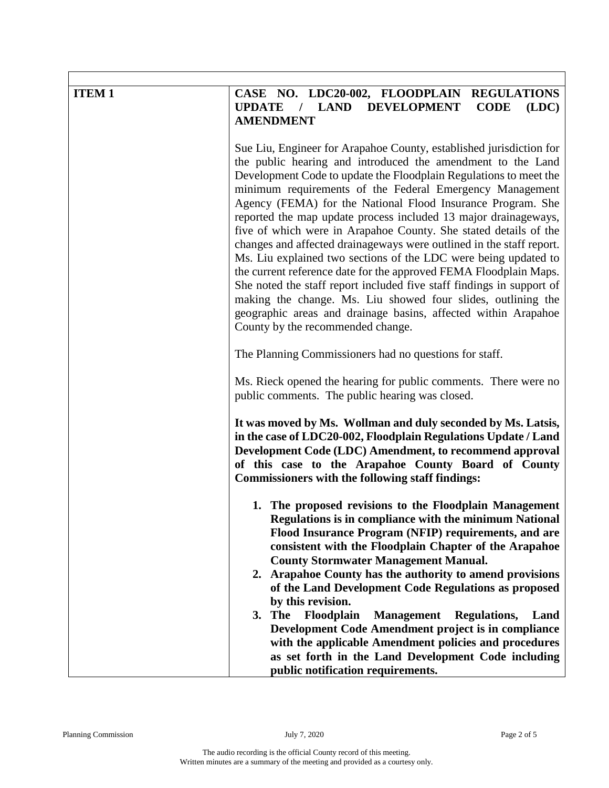| <b>UPDATE</b><br><b>LAND</b><br><b>DEVELOPMENT</b><br><b>CODE</b><br>(LDC)<br><b>AMENDMENT</b>                                                                                                                                                                                                                                                                                                                                                                                                                                                                                                                                                                                                                                                                                                                                                                                                                                            |
|-------------------------------------------------------------------------------------------------------------------------------------------------------------------------------------------------------------------------------------------------------------------------------------------------------------------------------------------------------------------------------------------------------------------------------------------------------------------------------------------------------------------------------------------------------------------------------------------------------------------------------------------------------------------------------------------------------------------------------------------------------------------------------------------------------------------------------------------------------------------------------------------------------------------------------------------|
| Sue Liu, Engineer for Arapahoe County, established jurisdiction for<br>the public hearing and introduced the amendment to the Land<br>Development Code to update the Floodplain Regulations to meet the<br>minimum requirements of the Federal Emergency Management<br>Agency (FEMA) for the National Flood Insurance Program. She<br>reported the map update process included 13 major drainageways,<br>five of which were in Arapahoe County. She stated details of the<br>changes and affected drainageways were outlined in the staff report.<br>Ms. Liu explained two sections of the LDC were being updated to<br>the current reference date for the approved FEMA Floodplain Maps.<br>She noted the staff report included five staff findings in support of<br>making the change. Ms. Liu showed four slides, outlining the<br>geographic areas and drainage basins, affected within Arapahoe<br>County by the recommended change. |
| The Planning Commissioners had no questions for staff.                                                                                                                                                                                                                                                                                                                                                                                                                                                                                                                                                                                                                                                                                                                                                                                                                                                                                    |
| Ms. Rieck opened the hearing for public comments. There were no<br>public comments. The public hearing was closed.                                                                                                                                                                                                                                                                                                                                                                                                                                                                                                                                                                                                                                                                                                                                                                                                                        |
| It was moved by Ms. Wollman and duly seconded by Ms. Latsis,<br>in the case of LDC20-002, Floodplain Regulations Update / Land<br>Development Code (LDC) Amendment, to recommend approval<br>of this case to the Arapahoe County Board of County<br><b>Commissioners with the following staff findings:</b>                                                                                                                                                                                                                                                                                                                                                                                                                                                                                                                                                                                                                               |
| 1. The proposed revisions to the Floodplain Management<br><b>Regulations is in compliance with the minimum National</b><br>Flood Insurance Program (NFIP) requirements, and are<br>consistent with the Floodplain Chapter of the Arapahoe<br><b>County Stormwater Management Manual.</b><br>2. Arapahoe County has the authority to amend provisions<br>of the Land Development Code Regulations as proposed<br>by this revision.<br>3. The<br>Floodplain<br><b>Management</b> Regulations,<br>Land<br>Development Code Amendment project is in compliance<br>with the applicable Amendment policies and procedures<br>as set forth in the Land Development Code including                                                                                                                                                                                                                                                                |
|                                                                                                                                                                                                                                                                                                                                                                                                                                                                                                                                                                                                                                                                                                                                                                                                                                                                                                                                           |

Г

٦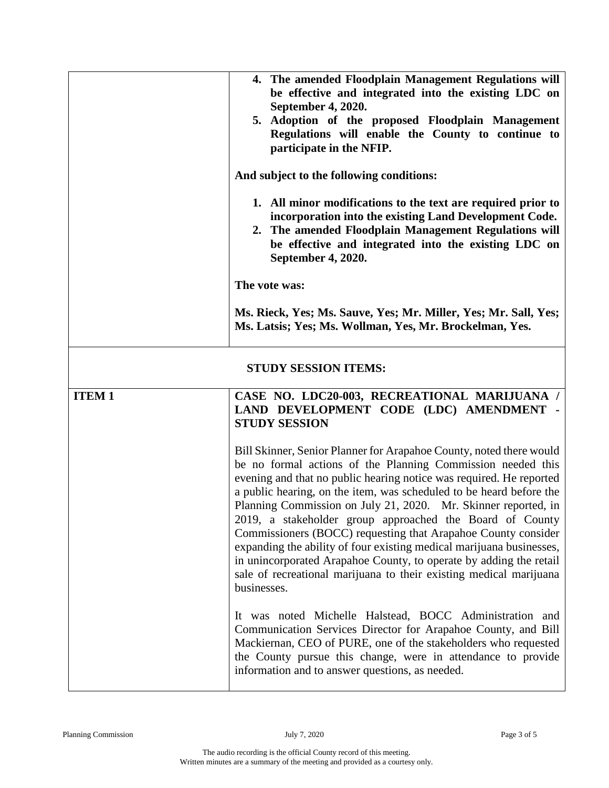|                             | 4. The amended Floodplain Management Regulations will<br>be effective and integrated into the existing LDC on<br>September 4, 2020.<br>5. Adoption of the proposed Floodplain Management<br>Regulations will enable the County to continue to<br>participate in the NFIP.<br>And subject to the following conditions:<br>1. All minor modifications to the text are required prior to<br>incorporation into the existing Land Development Code.<br>2. The amended Floodplain Management Regulations will<br>be effective and integrated into the existing LDC on<br>September 4, 2020.<br>The vote was:<br>Ms. Rieck, Yes; Ms. Sauve, Yes; Mr. Miller, Yes; Mr. Sall, Yes;<br>Ms. Latsis; Yes; Ms. Wollman, Yes, Mr. Brockelman, Yes.                                         |
|-----------------------------|-------------------------------------------------------------------------------------------------------------------------------------------------------------------------------------------------------------------------------------------------------------------------------------------------------------------------------------------------------------------------------------------------------------------------------------------------------------------------------------------------------------------------------------------------------------------------------------------------------------------------------------------------------------------------------------------------------------------------------------------------------------------------------|
| <b>STUDY SESSION ITEMS:</b> |                                                                                                                                                                                                                                                                                                                                                                                                                                                                                                                                                                                                                                                                                                                                                                               |
| <b>ITEM1</b>                | CASE NO. LDC20-003, RECREATIONAL MARIJUANA /<br>LAND DEVELOPMENT CODE (LDC) AMENDMENT -<br><b>STUDY SESSION</b>                                                                                                                                                                                                                                                                                                                                                                                                                                                                                                                                                                                                                                                               |
|                             | Bill Skinner, Senior Planner for Arapahoe County, noted there would<br>be no formal actions of the Planning Commission needed this<br>evening and that no public hearing notice was required. He reported<br>a public hearing, on the item, was scheduled to be heard before the<br>Planning Commission on July 21, 2020. Mr. Skinner reported, in<br>2019, a stakeholder group approached the Board of County<br>Commissioners (BOCC) requesting that Arapahoe County consider<br>expanding the ability of four existing medical marijuana businesses,<br>in unincorporated Arapahoe County, to operate by adding the retail<br>sale of recreational marijuana to their existing medical marijuana<br>businesses.<br>It was noted Michelle Halstead, BOCC Administration and |
|                             | Communication Services Director for Arapahoe County, and Bill<br>Mackiernan, CEO of PURE, one of the stakeholders who requested<br>the County pursue this change, were in attendance to provide<br>information and to answer questions, as needed.                                                                                                                                                                                                                                                                                                                                                                                                                                                                                                                            |